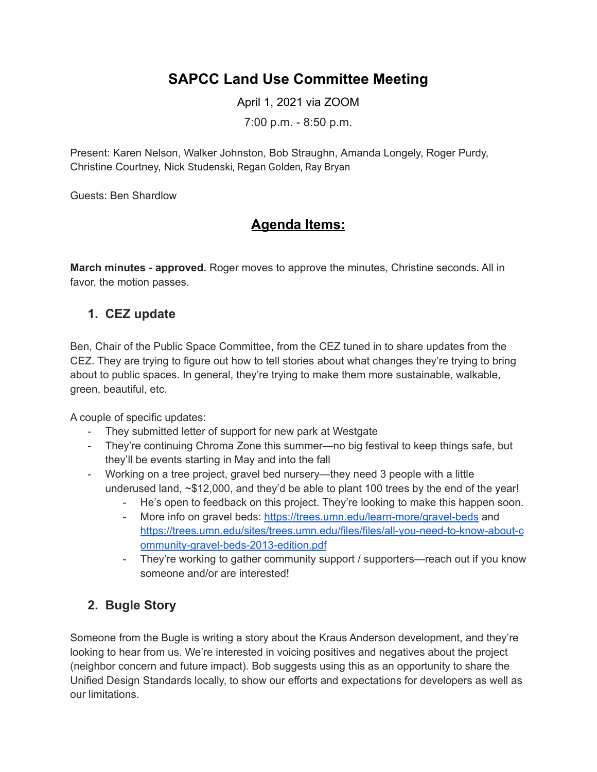# **SAPCC Land Use Committee Meeting**

April 1, 2021 via ZOOM

7:00 p.m. - 8:50 p.m.

Present: Karen Nelson, Walker Johnston, Bob Straughn, Amanda Longely, Roger Purdy, Christine Courtney, Nick Studenski, Regan Golden, Ray Bryan

Guests: Ben Shardlow

# **Agenda Items:**

**March minutes - approved.** Roger moves to approve the minutes, Christine seconds. All in favor, the motion passes.

#### **1. CEZ update**

Ben, Chair of the Public Space Committee, from the CEZ tuned in to share updates from the CEZ. They are trying to figure out how to tell stories about what changes they're trying to bring about to public spaces. In general, they're trying to make them more sustainable, walkable, green, beautiful, etc.

A couple of specific updates:

- They submitted letter of support for new park at Westgate
- They're continuing Chroma Zone this summer—no big festival to keep things safe, but they'll be events starting in May and into the fall
- Working on a tree project, gravel bed nursery—they need 3 people with a little underused land, ~\$12,000, and they'd be able to plant 100 trees by the end of the year!
	- He's open to feedback on this project. They're looking to make this happen soon.
	- More info on gravel beds: <https://trees.umn.edu/learn-more/gravel-beds> and [https://trees.umn.edu/sites/trees.umn.edu/files/files/all-you-need-to-know-about-c](https://trees.umn.edu/sites/trees.umn.edu/files/files/all-you-need-to-know-about-community-gravel-beds-2013-edition.pdf) [ommunity-gravel-beds-2013-edition.pdf](https://trees.umn.edu/sites/trees.umn.edu/files/files/all-you-need-to-know-about-community-gravel-beds-2013-edition.pdf)
	- They're working to gather community support / supporters—reach out if you know someone and/or are interested!

## **2. Bugle Story**

Someone from the Bugle is writing a story about the Kraus Anderson development, and they're looking to hear from us. We're interested in voicing positives and negatives about the project (neighbor concern and future impact). Bob suggests using this as an opportunity to share the Unified Design Standards locally, to show our efforts and expectations for developers as well as our limitations.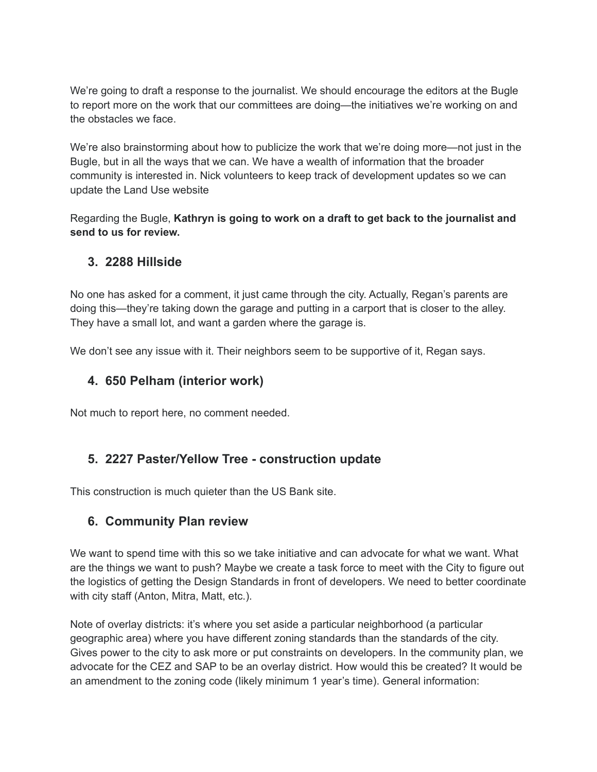We're going to draft a response to the journalist. We should encourage the editors at the Bugle to report more on the work that our committees are doing—the initiatives we're working on and the obstacles we face.

We're also brainstorming about how to publicize the work that we're doing more—not just in the Bugle, but in all the ways that we can. We have a wealth of information that the broader community is interested in. Nick volunteers to keep track of development updates so we can update the Land Use website

Regarding the Bugle, **Kathryn is going to work on a draft to get back to the journalist and send to us for review.**

#### **3. 2288 Hillside**

No one has asked for a comment, it just came through the city. Actually, Regan's parents are doing this—they're taking down the garage and putting in a carport that is closer to the alley. They have a small lot, and want a garden where the garage is.

We don't see any issue with it. Their neighbors seem to be supportive of it. Regan says.

#### **4. 650 Pelham (interior work)**

Not much to report here, no comment needed.

#### **5. 2227 Paster/Yellow Tree - construction update**

This construction is much quieter than the US Bank site.

## **6. Community Plan review**

We want to spend time with this so we take initiative and can advocate for what we want. What are the things we want to push? Maybe we create a task force to meet with the City to figure out the logistics of getting the Design Standards in front of developers. We need to better coordinate with city staff (Anton, Mitra, Matt, etc.).

Note of overlay districts: it's where you set aside a particular neighborhood (a particular geographic area) where you have different zoning standards than the standards of the city. Gives power to the city to ask more or put constraints on developers. In the community plan, we advocate for the CEZ and SAP to be an overlay district. How would this be created? It would be an amendment to the zoning code (likely minimum 1 year's time). General information: